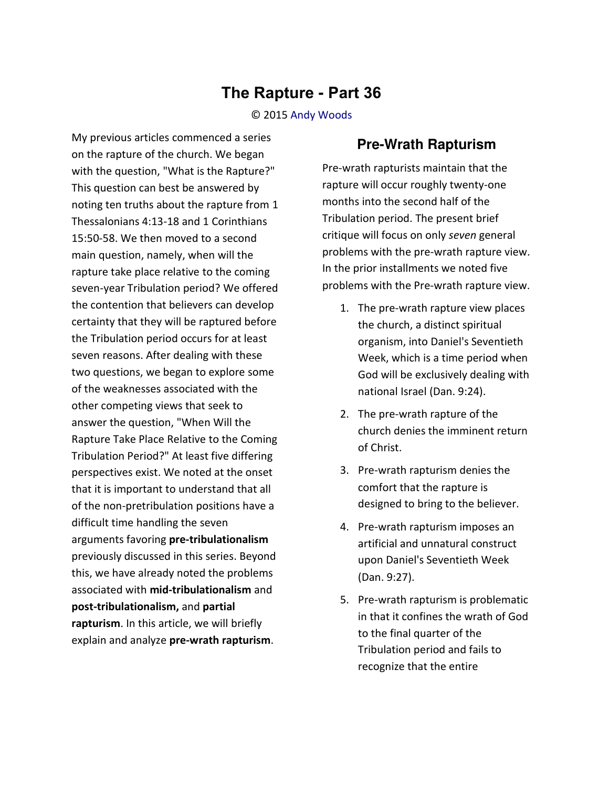## **The Rapture - Part 36**

## © 2015 [Andy Woods](http://www.spiritandtruth.org/id/aw.htm)

My previous articles commenced a series on the rapture of the church. We began with the question, "What is the Rapture?" This question can best be answered by noting ten truths about the rapture from 1 Thessalonians 4:13-18 and 1 Corinthians 15:50-58. We then moved to a second main question, namely, when will the rapture take place relative to the coming seven-year Tribulation period? We offered the contention that believers can develop certainty that they will be raptured before the Tribulation period occurs for at least seven reasons. After dealing with these two questions, we began to explore some of the weaknesses associated with the other competing views that seek to answer the question, "When Will the Rapture Take Place Relative to the Coming Tribulation Period?" At least five differing perspectives exist. We noted at the onset that it is important to understand that all of the non-pretribulation positions have a difficult time handling the seven arguments favoring **pre-tribulationalism** previously discussed in this series. Beyond this, we have already noted the problems associated with **mid-tribulationalism** and **post-tribulationalism,** and **partial rapturism**. In this article, we will briefly explain and analyze **pre-wrath rapturism**.

## **Pre-Wrath Rapturism**

Pre-wrath rapturists maintain that the rapture will occur roughly twenty-one months into the second half of the Tribulation period. The present brief critique will focus on only *seven* general problems with the pre-wrath rapture view. In the prior installments we noted five problems with the Pre-wrath rapture view.

- 1. The pre-wrath rapture view places the church, a distinct spiritual organism, into Daniel's Seventieth Week, which is a time period when God will be exclusively dealing with national Israel (Dan. 9:24).
- 2. The pre-wrath rapture of the church denies the imminent return of Christ.
- 3. Pre-wrath rapturism denies the comfort that the rapture is designed to bring to the believer.
- 4. Pre-wrath rapturism imposes an artificial and unnatural construct upon Daniel's Seventieth Week (Dan. 9:27).
- 5. Pre-wrath rapturism is problematic in that it confines the wrath of God to the final quarter of the Tribulation period and fails to recognize that the entire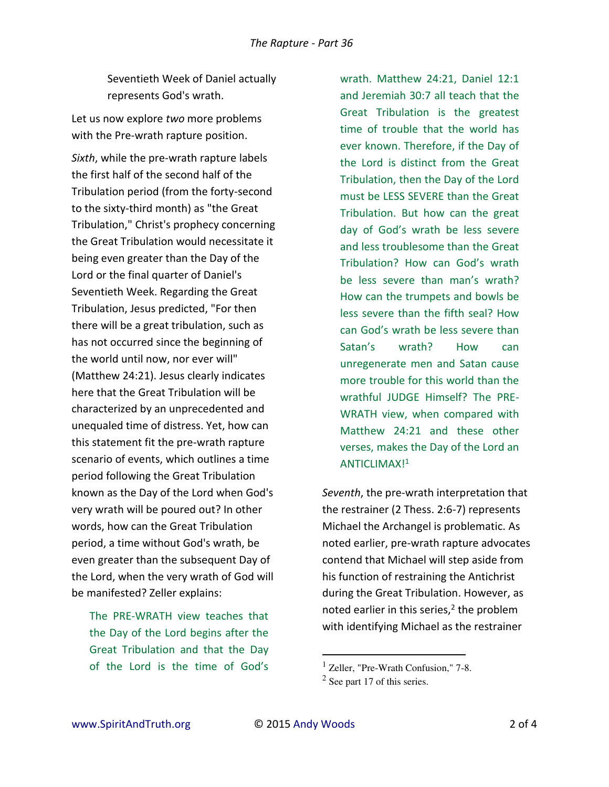Seventieth Week of Daniel actually represents God's wrath.

Let us now explore *two* more problems with the Pre-wrath rapture position.

*Sixth*, while the pre-wrath rapture labels the first half of the second half of the Tribulation period (from the forty-second to the sixty-third month) as "the Great Tribulation," Christ's prophecy concerning the Great Tribulation would necessitate it being even greater than the Day of the Lord or the final quarter of Daniel's Seventieth Week. Regarding the Great Tribulation, Jesus predicted, "For then there will be a great tribulation, such as has not occurred since the beginning of the world until now, nor ever will" (Matthew 24:21). Jesus clearly indicates here that the Great Tribulation will be characterized by an unprecedented and unequaled time of distress. Yet, how can this statement fit the pre-wrath rapture scenario of events, which outlines a time period following the Great Tribulation known as the Day of the Lord when God's very wrath will be poured out? In other words, how can the Great Tribulation period, a time without God's wrath, be even greater than the subsequent Day of the Lord, when the very wrath of God will be manifested? Zeller explains:

The PRE-WRATH view teaches that the Day of the Lord begins after the Great Tribulation and that the Day of the Lord is the time of God's

wrath. Matthew 24:21, Daniel 12:1 and Jeremiah 30:7 all teach that the Great Tribulation is the greatest time of trouble that the world has ever known. Therefore, if the Day of the Lord is distinct from the Great Tribulation, then the Day of the Lord must be LESS SEVERE than the Great Tribulation. But how can the great day of God's wrath be less severe and less troublesome than the Great Tribulation? How can God's wrath be less severe than man's wrath? How can the trumpets and bowls be less severe than the fifth seal? How can God's wrath be less severe than Satan's wrath? How can unregenerate men and Satan cause more trouble for this world than the wrathful JUDGE Himself? The PRE-WRATH view, when compared with Matthew 24:21 and these other verses, makes the Day of the Lord an ANTICLIMAX!<sup>1</sup>

*Seventh*, the pre-wrath interpretation that the restrainer (2 Thess. 2:6-7) represents Michael the Archangel is problematic. As noted earlier, pre-wrath rapture advocates contend that Michael will step aside from his function of restraining the Antichrist during the Great Tribulation. However, as noted earlier in this series,<sup>2</sup> the problem with identifying Michael as the restrainer

l

<sup>&</sup>lt;sup>1</sup> Zeller, "Pre-Wrath Confusion," 7-8.

 $2$  See part 17 of this series.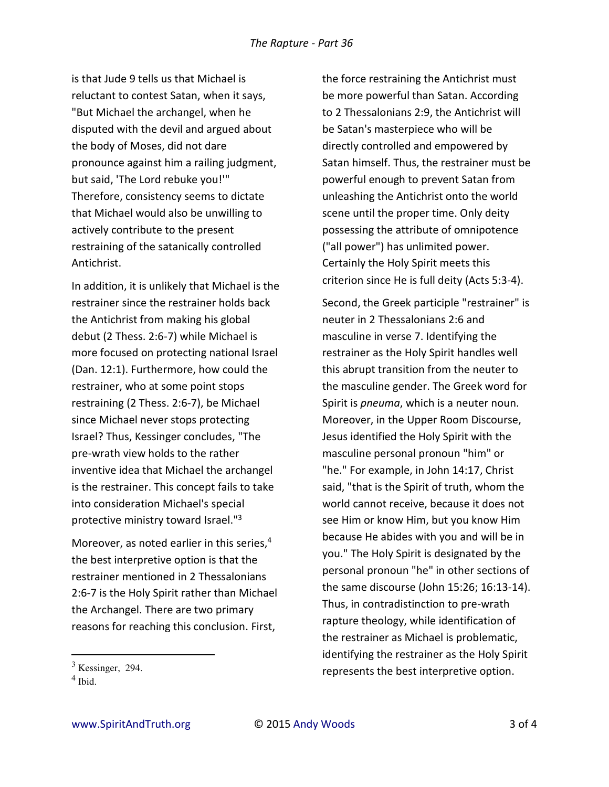is that Jude 9 tells us that Michael is reluctant to contest Satan, when it says, "But Michael the archangel, when he disputed with the devil and argued about the body of Moses, did not dare pronounce against him a railing judgment, but said, 'The Lord rebuke you!'" Therefore, consistency seems to dictate that Michael would also be unwilling to actively contribute to the present restraining of the satanically controlled Antichrist.

In addition, it is unlikely that Michael is the restrainer since the restrainer holds back the Antichrist from making his global debut (2 Thess. 2:6-7) while Michael is more focused on protecting national Israel (Dan. 12:1). Furthermore, how could the restrainer, who at some point stops restraining (2 Thess. 2:6-7), be Michael since Michael never stops protecting Israel? Thus, Kessinger concludes, "The pre-wrath view holds to the rather inventive idea that Michael the archangel is the restrainer. This concept fails to take into consideration Michael's special protective ministry toward Israel."<sup>3</sup>

Moreover, as noted earlier in this series,<sup>4</sup> the best interpretive option is that the restrainer mentioned in 2 Thessalonians 2:6-7 is the Holy Spirit rather than Michael the Archangel. There are two primary reasons for reaching this conclusion. First,

l

the force restraining the Antichrist must be more powerful than Satan. According to 2 Thessalonians 2:9, the Antichrist will be Satan's masterpiece who will be directly controlled and empowered by Satan himself. Thus, the restrainer must be powerful enough to prevent Satan from unleashing the Antichrist onto the world scene until the proper time. Only deity possessing the attribute of omnipotence ("all power") has unlimited power. Certainly the Holy Spirit meets this criterion since He is full deity (Acts 5:3-4).

Second, the Greek participle "restrainer" is neuter in 2 Thessalonians 2:6 and masculine in verse 7. Identifying the restrainer as the Holy Spirit handles well this abrupt transition from the neuter to the masculine gender. The Greek word for Spirit is *pneuma*, which is a neuter noun. Moreover, in the Upper Room Discourse, Jesus identified the Holy Spirit with the masculine personal pronoun "him" or "he." For example, in John 14:17, Christ said, "that is the Spirit of truth, whom the world cannot receive, because it does not see Him or know Him, but you know Him because He abides with you and will be in you." The Holy Spirit is designated by the personal pronoun "he" in other sections of the same discourse (John 15:26; 16:13-14). Thus, in contradistinction to pre-wrath rapture theology, while identification of the restrainer as Michael is problematic, identifying the restrainer as the Holy Spirit represents the best interpretive option.

 $3$  Kessinger, 294.

<sup>4</sup> Ibid.